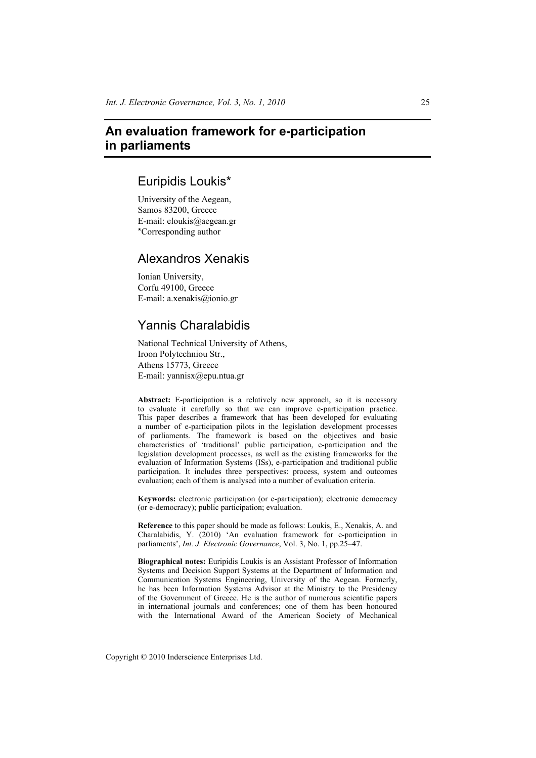# **An evaluation framework for e-participation in parliaments**

# Euripidis Loukis\*

University of the Aegean, Samos 83200, Greece E-mail: eloukis@aegean.gr \*Corresponding author

# Alexandros Xenakis

Ionian University, Corfu 49100, Greece E-mail: a.xenakis@ionio.gr

# Yannis Charalabidis

National Technical University of Athens, Iroon Polytechniou Str., Athens 15773, Greece E-mail: yannisx@epu.ntua.gr

Abstract: E-participation is a relatively new approach, so it is necessary to evaluate it carefully so that we can improve e-participation practice. This paper describes a framework that has been developed for evaluating a number of e-participation pilots in the legislation development processes of parliaments. The framework is based on the objectives and basic characteristics of 'traditional' public participation, e-participation and the legislation development processes, as well as the existing frameworks for the evaluation of Information Systems (ISs), e-participation and traditional public participation. It includes three perspectives: process, system and outcomes evaluation; each of them is analysed into a number of evaluation criteria.

**Keywords:** electronic participation (or e-participation); electronic democracy (or e-democracy); public participation; evaluation.

**Reference** to this paper should be made as follows: Loukis, E., Xenakis, A. and Charalabidis, Y. (2010) 'An evaluation framework for e-participation in parliaments', *Int. J. Electronic Governance*, Vol. 3, No. 1, pp.25–47.

**Biographical notes:** Euripidis Loukis is an Assistant Professor of Information Systems and Decision Support Systems at the Department of Information and Communication Systems Engineering, University of the Aegean. Formerly, he has been Information Systems Advisor at the Ministry to the Presidency of the Government of Greece. He is the author of numerous scientific papers in international journals and conferences; one of them has been honoured with the International Award of the American Society of Mechanical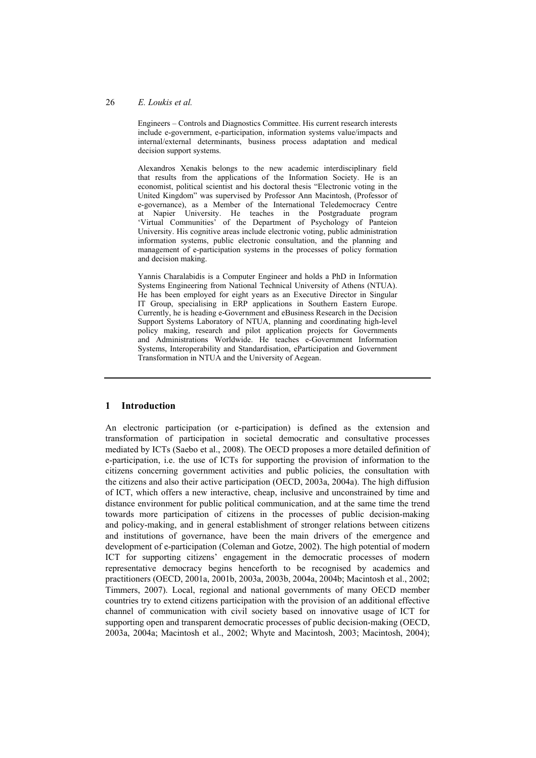Engineers – Controls and Diagnostics Committee. His current research interests include e-government, e-participation, information systems value/impacts and internal/external determinants, business process adaptation and medical decision support systems.

Alexandros Xenakis belongs to the new academic interdisciplinary field that results from the applications of the Information Society. He is an economist, political scientist and his doctoral thesis "Electronic voting in the United Kingdom" was supervised by Professor Ann Macintosh, (Professor of e-governance), as a Member of the International Teledemocracy Centre at Napier University. He teaches in the Postgraduate program 'Virtual Communities' of the Department of Psychology of Panteion University. His cognitive areas include electronic voting, public administration information systems, public electronic consultation, and the planning and management of e-participation systems in the processes of policy formation and decision making.

Yannis Charalabidis is a Computer Engineer and holds a PhD in Information Systems Engineering from National Technical University of Athens (NTUA). He has been employed for eight years as an Executive Director in Singular IT Group, specialising in ERP applications in Southern Eastern Europe. Currently, he is heading e-Government and eBusiness Research in the Decision Support Systems Laboratory of NTUA, planning and coordinating high-level policy making, research and pilot application projects for Governments and Administrations Worldwide. He teaches e-Government Information Systems, Interoperability and Standardisation, eParticipation and Government Transformation in NTUA and the University of Aegean.

#### **1 Introduction**

An electronic participation (or e-participation) is defined as the extension and transformation of participation in societal democratic and consultative processes mediated by ICTs (Saebo et al., 2008). The OECD proposes a more detailed definition of e-participation, i.e. the use of ICTs for supporting the provision of information to the citizens concerning government activities and public policies, the consultation with the citizens and also their active participation (OECD, 2003a, 2004a). The high diffusion of ICT, which offers a new interactive, cheap, inclusive and unconstrained by time and distance environment for public political communication, and at the same time the trend towards more participation of citizens in the processes of public decision-making and policy-making, and in general establishment of stronger relations between citizens and institutions of governance, have been the main drivers of the emergence and development of e-participation (Coleman and Gotze, 2002). The high potential of modern ICT for supporting citizens' engagement in the democratic processes of modern representative democracy begins henceforth to be recognised by academics and practitioners (OECD, 2001a, 2001b, 2003a, 2003b, 2004a, 2004b; Macintosh et al., 2002; Timmers, 2007). Local, regional and national governments of many OECD member countries try to extend citizens participation with the provision of an additional effective channel of communication with civil society based on innovative usage of ICT for supporting open and transparent democratic processes of public decision-making (OECD, 2003a, 2004a; Macintosh et al., 2002; Whyte and Macintosh, 2003; Macintosh, 2004);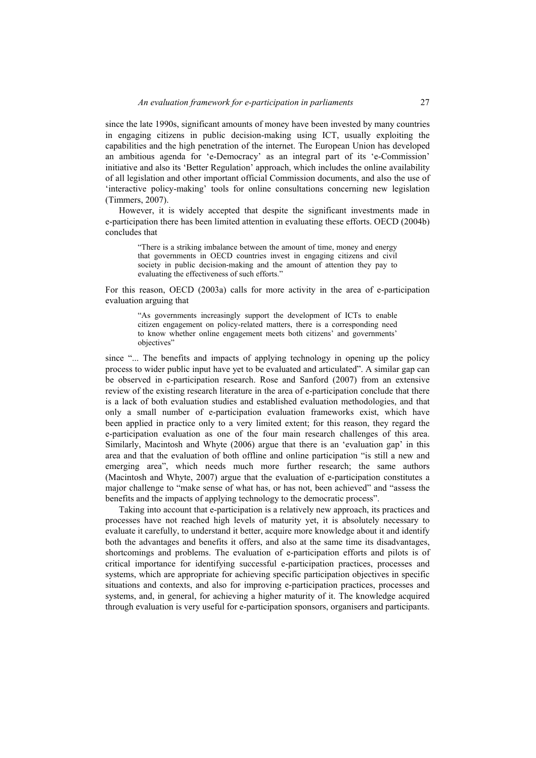since the late 1990s, significant amounts of money have been invested by many countries in engaging citizens in public decision-making using ICT, usually exploiting the capabilities and the high penetration of the internet. The European Union has developed an ambitious agenda for 'e-Democracy' as an integral part of its 'e-Commission' initiative and also its 'Better Regulation' approach, which includes the online availability of all legislation and other important official Commission documents, and also the use of 'interactive policy-making' tools for online consultations concerning new legislation (Timmers, 2007).

However, it is widely accepted that despite the significant investments made in e-participation there has been limited attention in evaluating these efforts. OECD (2004b) concludes that

"There is a striking imbalance between the amount of time, money and energy that governments in OECD countries invest in engaging citizens and civil society in public decision-making and the amount of attention they pay to evaluating the effectiveness of such efforts."

For this reason, OECD (2003a) calls for more activity in the area of e-participation evaluation arguing that

> "As governments increasingly support the development of ICTs to enable citizen engagement on policy-related matters, there is a corresponding need to know whether online engagement meets both citizens' and governments' objectives"

since "... The benefits and impacts of applying technology in opening up the policy process to wider public input have yet to be evaluated and articulated". A similar gap can be observed in e-participation research. Rose and Sanford (2007) from an extensive review of the existing research literature in the area of e-participation conclude that there is a lack of both evaluation studies and established evaluation methodologies, and that only a small number of e-participation evaluation frameworks exist, which have been applied in practice only to a very limited extent; for this reason, they regard the e-participation evaluation as one of the four main research challenges of this area. Similarly, Macintosh and Whyte (2006) argue that there is an 'evaluation gap' in this area and that the evaluation of both offline and online participation "is still a new and emerging area", which needs much more further research; the same authors (Macintosh and Whyte, 2007) argue that the evaluation of e-participation constitutes a major challenge to "make sense of what has, or has not, been achieved" and "assess the benefits and the impacts of applying technology to the democratic process".

Taking into account that e-participation is a relatively new approach, its practices and processes have not reached high levels of maturity yet, it is absolutely necessary to evaluate it carefully, to understand it better, acquire more knowledge about it and identify both the advantages and benefits it offers, and also at the same time its disadvantages, shortcomings and problems. The evaluation of e-participation efforts and pilots is of critical importance for identifying successful e-participation practices, processes and systems, which are appropriate for achieving specific participation objectives in specific situations and contexts, and also for improving e-participation practices, processes and systems, and, in general, for achieving a higher maturity of it. The knowledge acquired through evaluation is very useful for e-participation sponsors, organisers and participants.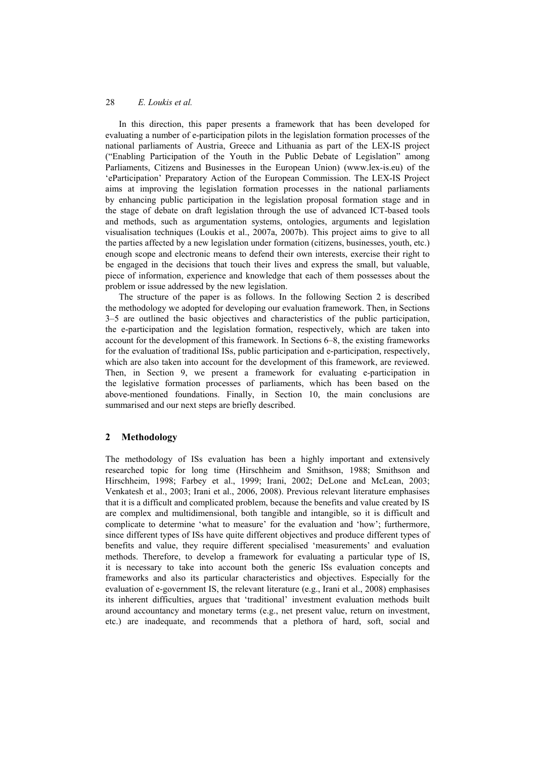In this direction, this paper presents a framework that has been developed for evaluating a number of e-participation pilots in the legislation formation processes of the national parliaments of Austria, Greece and Lithuania as part of the LEX-IS project ("Enabling Participation of the Youth in the Public Debate of Legislation" among Parliaments, Citizens and Businesses in the European Union) (www.lex-is.eu) of the 'eParticipation' Preparatory Action of the European Commission. The LEX-IS Project aims at improving the legislation formation processes in the national parliaments by enhancing public participation in the legislation proposal formation stage and in the stage of debate on draft legislation through the use of advanced ICT-based tools and methods, such as argumentation systems, ontologies, arguments and legislation visualisation techniques (Loukis et al., 2007a, 2007b). This project aims to give to all the parties affected by a new legislation under formation (citizens, businesses, youth, etc.) enough scope and electronic means to defend their own interests, exercise their right to be engaged in the decisions that touch their lives and express the small, but valuable, piece of information, experience and knowledge that each of them possesses about the problem or issue addressed by the new legislation.

The structure of the paper is as follows. In the following Section 2 is described the methodology we adopted for developing our evaluation framework. Then, in Sections 3–5 are outlined the basic objectives and characteristics of the public participation, the e-participation and the legislation formation, respectively, which are taken into account for the development of this framework. In Sections 6–8, the existing frameworks for the evaluation of traditional ISs, public participation and e-participation, respectively, which are also taken into account for the development of this framework, are reviewed. Then, in Section 9, we present a framework for evaluating e-participation in the legislative formation processes of parliaments, which has been based on the above-mentioned foundations. Finally, in Section 10, the main conclusions are summarised and our next steps are briefly described.

## **2 Methodology**

The methodology of ISs evaluation has been a highly important and extensively researched topic for long time (Hirschheim and Smithson, 1988; Smithson and Hirschheim, 1998; Farbey et al., 1999; Irani, 2002; DeLone and McLean, 2003; Venkatesh et al., 2003; Irani et al., 2006, 2008). Previous relevant literature emphasises that it is a difficult and complicated problem, because the benefits and value created by IS are complex and multidimensional, both tangible and intangible, so it is difficult and complicate to determine 'what to measure' for the evaluation and 'how'; furthermore, since different types of ISs have quite different objectives and produce different types of benefits and value, they require different specialised 'measurements' and evaluation methods. Therefore, to develop a framework for evaluating a particular type of IS, it is necessary to take into account both the generic ISs evaluation concepts and frameworks and also its particular characteristics and objectives. Especially for the evaluation of e-government IS, the relevant literature (e.g., Irani et al., 2008) emphasises its inherent difficulties, argues that 'traditional' investment evaluation methods built around accountancy and monetary terms (e.g., net present value, return on investment, etc.) are inadequate, and recommends that a plethora of hard, soft, social and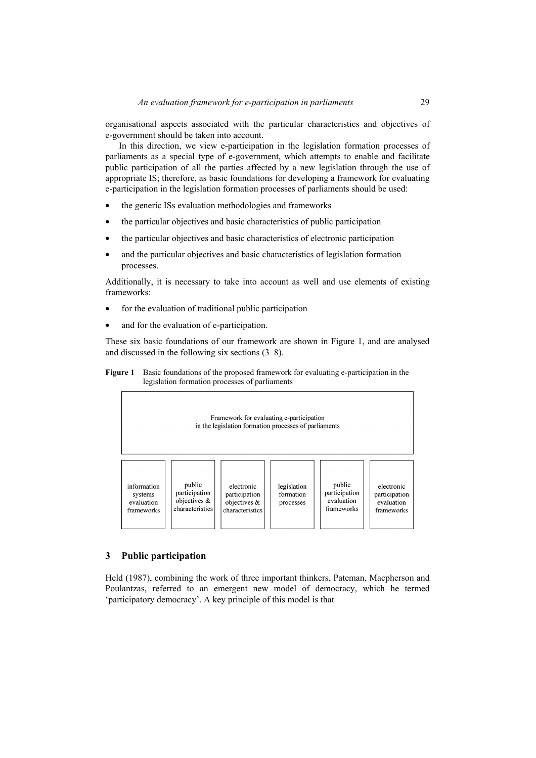organisational aspects associated with the particular characteristics and objectives of e-government should be taken into account.

In this direction, we view e-participation in the legislation formation processes of parliaments as a special type of e-government, which attempts to enable and facilitate public participation of all the parties affected by a new legislation through the use of appropriate IS; therefore, as basic foundations for developing a framework for evaluating e-participation in the legislation formation processes of parliaments should be used:

- the generic ISs evaluation methodologies and frameworks
- the particular objectives and basic characteristics of public participation
- the particular objectives and basic characteristics of electronic participation
- and the particular objectives and basic characteristics of legislation formation processes.

Additionally, it is necessary to take into account as well and use elements of existing frameworks:

- for the evaluation of traditional public participation
- and for the evaluation of e-participation.

These six basic foundations of our framework are shown in Figure 1, and are analysed and discussed in the following six sections (3–8).

**Figure 1** Basic foundations of the proposed framework for evaluating e-participation in the legislation formation processes of parliaments

|                                                    |                                                            | Framework for evaluating e-participation<br>in the legislation formation processes of parliaments |                                       |                                                     |                                                         |
|----------------------------------------------------|------------------------------------------------------------|---------------------------------------------------------------------------------------------------|---------------------------------------|-----------------------------------------------------|---------------------------------------------------------|
| information<br>systems<br>evaluation<br>frameworks | public<br>participation<br>objectives &<br>characteristics | electronic<br>participation<br>objectives &<br>characteristics                                    | legislation<br>formation<br>processes | public<br>participation<br>evaluation<br>frameworks | electronic<br>participation<br>evaluation<br>frameworks |

## **3 Public participation**

Held (1987), combining the work of three important thinkers, Pateman, Macpherson and Poulantzas, referred to an emergent new model of democracy, which he termed 'participatory democracy'. A key principle of this model is that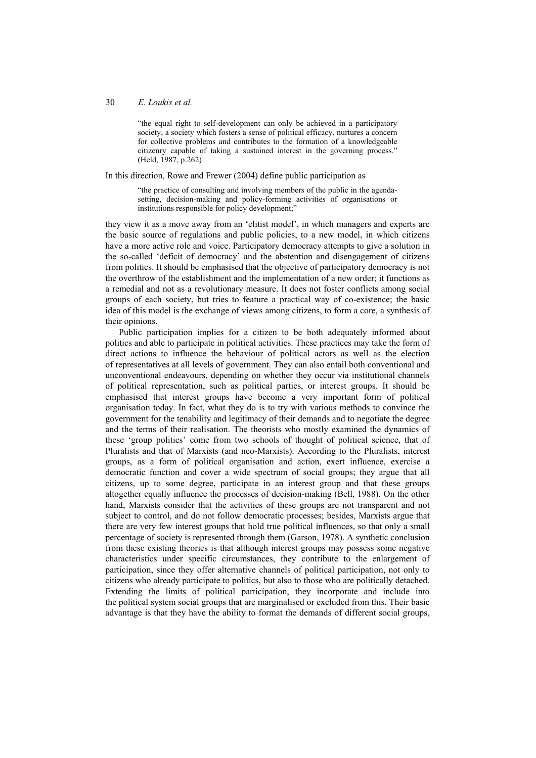"the equal right to self-development can only be achieved in a participatory society, a society which fosters a sense of political efficacy, nurtures a concern for collective problems and contributes to the formation of a knowledgeable citizenry capable of taking a sustained interest in the governing process." (Held, 1987, p.262)

In this direction, Rowe and Frewer (2004) define public participation as

"the practice of consulting and involving members of the public in the agendasetting, decision-making and policy-forming activities of organisations or institutions responsible for policy development;"

they view it as a move away from an 'elitist model', in which managers and experts are the basic source of regulations and public policies, to a new model, in which citizens have a more active role and voice. Participatory democracy attempts to give a solution in the so-called 'deficit of democracy' and the abstention and disengagement of citizens from politics. It should be emphasised that the objective of participatory democracy is not the overthrow of the establishment and the implementation of a new order; it functions as a remedial and not as a revolutionary measure. It does not foster conflicts among social groups of each society, but tries to feature a practical way of co-existence; the basic idea of this model is the exchange of views among citizens, to form a core, a synthesis of their opinions.

Public participation implies for a citizen to be both adequately informed about politics and able to participate in political activities. These practices may take the form of direct actions to influence the behaviour of political actors as well as the election of representatives at all levels of government. They can also entail both conventional and unconventional endeavours, depending on whether they occur via institutional channels of political representation, such as political parties, or interest groups. It should be emphasised that interest groups have become a very important form of political organisation today. In fact, what they do is to try with various methods to convince the government for the tenability and legitimacy of their demands and to negotiate the degree and the terms of their realisation. The theorists who mostly examined the dynamics of these 'group politics' come from two schools of thought of political science, that of Pluralists and that of Marxists (and neo-Marxists). According to the Pluralists, interest groups, as a form of political organisation and action, exert influence, exercise a democratic function and cover a wide spectrum of social groups; they argue that all citizens, up to some degree, participate in an interest group and that these groups altogether equally influence the processes of decision-making (Bell, 1988). On the other hand, Marxists consider that the activities of these groups are not transparent and not subject to control, and do not follow democratic processes; besides, Marxists argue that there are very few interest groups that hold true political influences, so that only a small percentage of society is represented through them (Garson, 1978). A synthetic conclusion from these existing theories is that although interest groups may possess some negative characteristics under specific circumstances, they contribute to the enlargement of participation, since they offer alternative channels of political participation, not only to citizens who already participate to politics, but also to those who are politically detached. Extending the limits of political participation, they incorporate and include into the political system social groups that are marginalised or excluded from this. Their basic advantage is that they have the ability to format the demands of different social groups,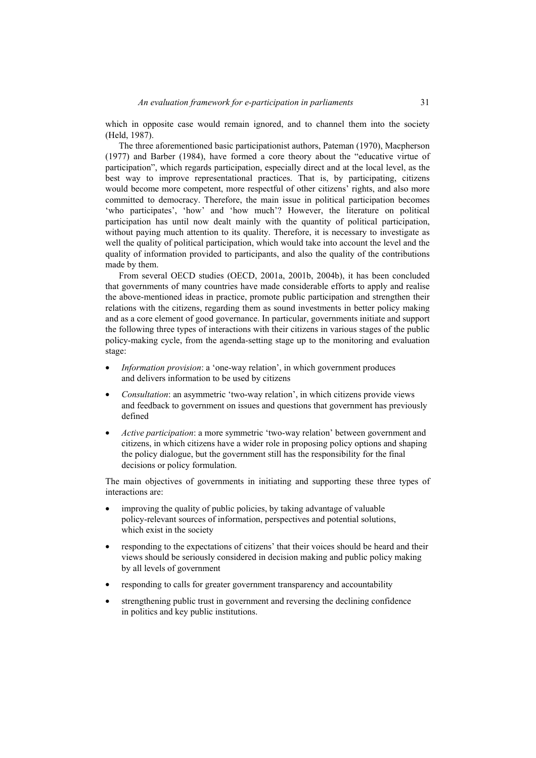which in opposite case would remain ignored, and to channel them into the society (Held, 1987).

The three aforementioned basic participationist authors, Pateman (1970), Macpherson (1977) and Barber (1984), have formed a core theory about the "educative virtue of participation", which regards participation, especially direct and at the local level, as the best way to improve representational practices. That is, by participating, citizens would become more competent, more respectful of other citizens' rights, and also more committed to democracy. Therefore, the main issue in political participation becomes 'who participates', 'how' and 'how much'? However, the literature on political participation has until now dealt mainly with the quantity of political participation, without paying much attention to its quality. Therefore, it is necessary to investigate as well the quality of political participation, which would take into account the level and the quality of information provided to participants, and also the quality of the contributions made by them.

From several OECD studies (OECD, 2001a, 2001b, 2004b), it has been concluded that governments of many countries have made considerable efforts to apply and realise the above-mentioned ideas in practice, promote public participation and strengthen their relations with the citizens, regarding them as sound investments in better policy making and as a core element of good governance. In particular, governments initiate and support the following three types of interactions with their citizens in various stages of the public policy-making cycle, from the agenda-setting stage up to the monitoring and evaluation stage:

- *Information provision*: a 'one-way relation', in which government produces and delivers information to be used by citizens
- *Consultation*: an asymmetric 'two-way relation', in which citizens provide views and feedback to government on issues and questions that government has previously defined
- *Active participation*: a more symmetric 'two-way relation' between government and citizens, in which citizens have a wider role in proposing policy options and shaping the policy dialogue, but the government still has the responsibility for the final decisions or policy formulation.

The main objectives of governments in initiating and supporting these three types of interactions are:

- improving the quality of public policies, by taking advantage of valuable policy-relevant sources of information, perspectives and potential solutions, which exist in the society
- responding to the expectations of citizens' that their voices should be heard and their views should be seriously considered in decision making and public policy making by all levels of government
- responding to calls for greater government transparency and accountability
- strengthening public trust in government and reversing the declining confidence in politics and key public institutions.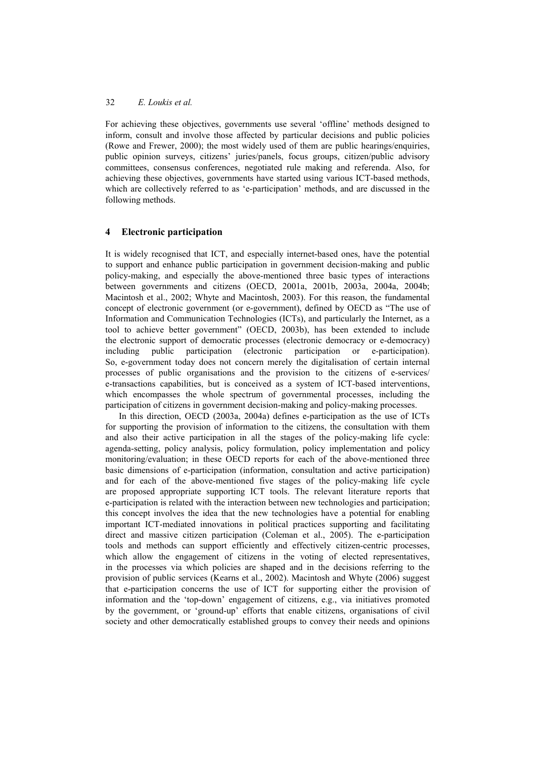For achieving these objectives, governments use several 'offline' methods designed to inform, consult and involve those affected by particular decisions and public policies (Rowe and Frewer, 2000); the most widely used of them are public hearings/enquiries, public opinion surveys, citizens' juries/panels, focus groups, citizen/public advisory committees, consensus conferences, negotiated rule making and referenda. Also, for achieving these objectives, governments have started using various ICT-based methods, which are collectively referred to as 'e-participation' methods, and are discussed in the following methods.

## **4 Electronic participation**

It is widely recognised that ICT, and especially internet-based ones, have the potential to support and enhance public participation in government decision-making and public policy-making, and especially the above-mentioned three basic types of interactions between governments and citizens (OECD, 2001a, 2001b, 2003a, 2004a, 2004b; Macintosh et al., 2002; Whyte and Macintosh, 2003). For this reason, the fundamental concept of electronic government (or e-government), defined by OECD as "The use of Information and Communication Technologies (ICTs), and particularly the Internet, as a tool to achieve better government" (OECD, 2003b), has been extended to include the electronic support of democratic processes (electronic democracy or e-democracy) including public participation (electronic participation or e-participation). So, e-government today does not concern merely the digitalisation of certain internal processes of public organisations and the provision to the citizens of e-services/ e-transactions capabilities, but is conceived as a system of ICT-based interventions, which encompasses the whole spectrum of governmental processes, including the participation of citizens in government decision-making and policy-making processes.

In this direction, OECD (2003a, 2004a) defines e-participation as the use of ICTs for supporting the provision of information to the citizens, the consultation with them and also their active participation in all the stages of the policy-making life cycle: agenda-setting, policy analysis, policy formulation, policy implementation and policy monitoring/evaluation; in these OECD reports for each of the above-mentioned three basic dimensions of e-participation (information, consultation and active participation) and for each of the above-mentioned five stages of the policy-making life cycle are proposed appropriate supporting ICT tools. The relevant literature reports that e-participation is related with the interaction between new technologies and participation; this concept involves the idea that the new technologies have a potential for enabling important ICT-mediated innovations in political practices supporting and facilitating direct and massive citizen participation (Coleman et al., 2005). The e-participation tools and methods can support efficiently and effectively citizen-centric processes, which allow the engagement of citizens in the voting of elected representatives, in the processes via which policies are shaped and in the decisions referring to the provision of public services (Kearns et al., 2002). Macintosh and Whyte (2006) suggest that e-participation concerns the use of ICT for supporting either the provision of information and the 'top-down' engagement of citizens, e.g., via initiatives promoted by the government, or 'ground-up' efforts that enable citizens, organisations of civil society and other democratically established groups to convey their needs and opinions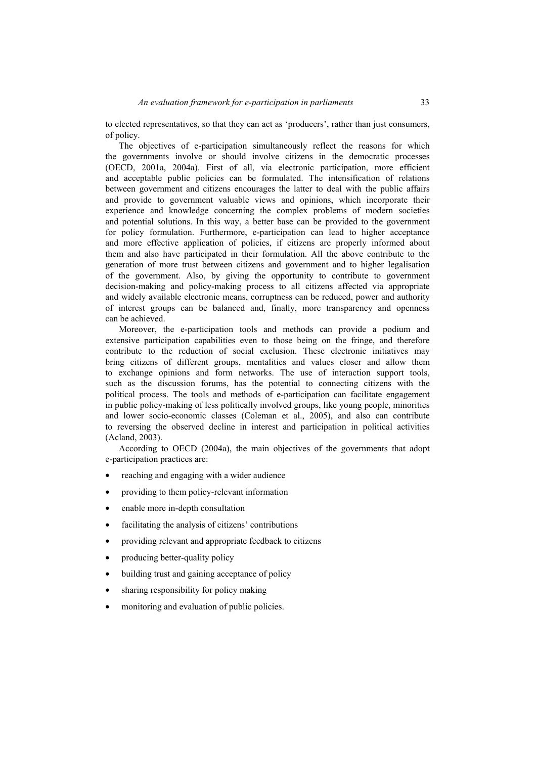to elected representatives, so that they can act as 'producers', rather than just consumers, of policy.

The objectives of e-participation simultaneously reflect the reasons for which the governments involve or should involve citizens in the democratic processes (OECD, 2001a, 2004a). First of all, via electronic participation, more efficient and acceptable public policies can be formulated. The intensification of relations between government and citizens encourages the latter to deal with the public affairs and provide to government valuable views and opinions, which incorporate their experience and knowledge concerning the complex problems of modern societies and potential solutions. In this way, a better base can be provided to the government for policy formulation. Furthermore, e-participation can lead to higher acceptance and more effective application of policies, if citizens are properly informed about them and also have participated in their formulation. All the above contribute to the generation of more trust between citizens and government and to higher legalisation of the government. Also, by giving the opportunity to contribute to government decision-making and policy-making process to all citizens affected via appropriate and widely available electronic means, corruptness can be reduced, power and authority of interest groups can be balanced and, finally, more transparency and openness can be achieved.

Moreover, the e-participation tools and methods can provide a podium and extensive participation capabilities even to those being on the fringe, and therefore contribute to the reduction of social exclusion. These electronic initiatives may bring citizens of different groups, mentalities and values closer and allow them to exchange opinions and form networks. The use of interaction support tools, such as the discussion forums, has the potential to connecting citizens with the political process. The tools and methods of e-participation can facilitate engagement in public policy-making of less politically involved groups, like young people, minorities and lower socio-economic classes (Coleman et al., 2005), and also can contribute to reversing the observed decline in interest and participation in political activities (Acland, 2003).

According to OECD (2004a), the main objectives of the governments that adopt e-participation practices are:

- reaching and engaging with a wider audience
- providing to them policy-relevant information
- enable more in-depth consultation
- facilitating the analysis of citizens' contributions
- providing relevant and appropriate feedback to citizens
- producing better-quality policy
- building trust and gaining acceptance of policy
- sharing responsibility for policy making
- monitoring and evaluation of public policies.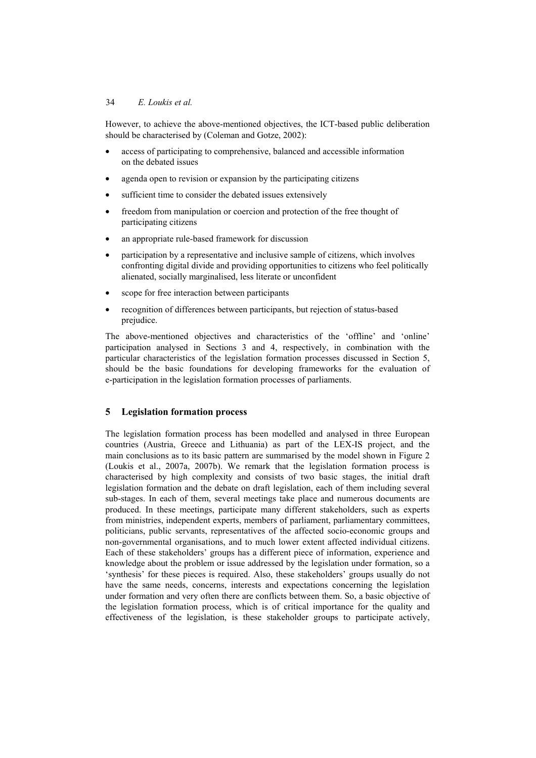However, to achieve the above-mentioned objectives, the ICT-based public deliberation should be characterised by (Coleman and Gotze, 2002):

- access of participating to comprehensive, balanced and accessible information on the debated issues
- agenda open to revision or expansion by the participating citizens
- sufficient time to consider the debated issues extensively
- freedom from manipulation or coercion and protection of the free thought of participating citizens
- an appropriate rule-based framework for discussion
- participation by a representative and inclusive sample of citizens, which involves confronting digital divide and providing opportunities to citizens who feel politically alienated, socially marginalised, less literate or unconfident
- scope for free interaction between participants
- recognition of differences between participants, but rejection of status-based prejudice.

The above-mentioned objectives and characteristics of the 'offline' and 'online' participation analysed in Sections 3 and 4, respectively, in combination with the particular characteristics of the legislation formation processes discussed in Section 5, should be the basic foundations for developing frameworks for the evaluation of e-participation in the legislation formation processes of parliaments.

# **5 Legislation formation process**

The legislation formation process has been modelled and analysed in three European countries (Austria, Greece and Lithuania) as part of the LEX-IS project, and the main conclusions as to its basic pattern are summarised by the model shown in Figure 2 (Loukis et al., 2007a, 2007b). We remark that the legislation formation process is characterised by high complexity and consists of two basic stages, the initial draft legislation formation and the debate on draft legislation, each of them including several sub-stages. In each of them, several meetings take place and numerous documents are produced. In these meetings, participate many different stakeholders, such as experts from ministries, independent experts, members of parliament, parliamentary committees, politicians, public servants, representatives of the affected socio-economic groups and non-governmental organisations, and to much lower extent affected individual citizens. Each of these stakeholders' groups has a different piece of information, experience and knowledge about the problem or issue addressed by the legislation under formation, so a 'synthesis' for these pieces is required. Also, these stakeholders' groups usually do not have the same needs, concerns, interests and expectations concerning the legislation under formation and very often there are conflicts between them. So, a basic objective of the legislation formation process, which is of critical importance for the quality and effectiveness of the legislation, is these stakeholder groups to participate actively,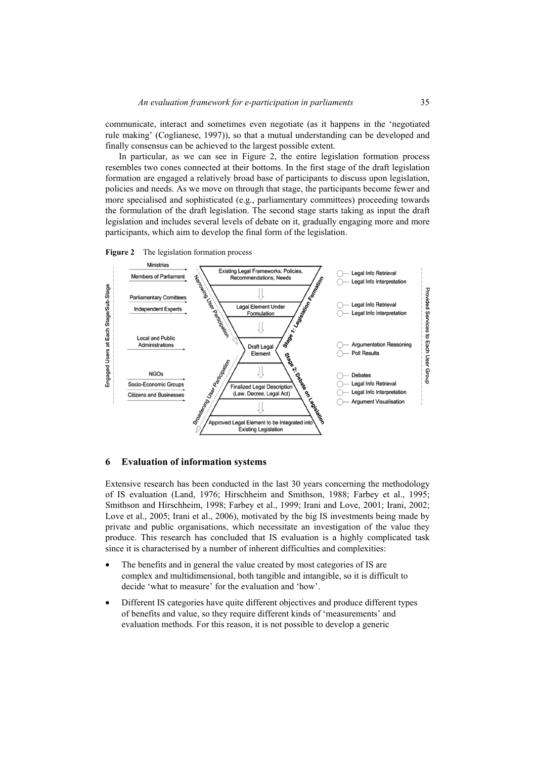communicate, interact and sometimes even negotiate (as it happens in the 'negotiated rule making' (Coglianese, 1997)), so that a mutual understanding can be developed and finally consensus can be achieved to the largest possible extent.

In particular, as we can see in Figure 2, the entire legislation formation process resembles two cones connected at their bottoms. In the first stage of the draft legislation formation are engaged a relatively broad base of participants to discuss upon legislation, policies and needs. As we move on through that stage, the participants become fewer and more specialised and sophisticated (e.g., parliamentary committees) proceeding towards the formulation of the draft legislation. The second stage starts taking as input the draft legislation and includes several levels of debate on it, gradually engaging more and more participants, which aim to develop the final form of the legislation.





#### **6 Evaluation of information systems**

Extensive research has been conducted in the last 30 years concerning the methodology of IS evaluation (Land, 1976; Hirschheim and Smithson, 1988; Farbey et al., 1995; Smithson and Hirschheim, 1998; Farbey et al., 1999; Irani and Love, 2001; Irani, 2002; Love et al., 2005; Irani et al., 2006), motivated by the big IS investments being made by private and public organisations, which necessitate an investigation of the value they produce. This research has concluded that IS evaluation is a highly complicated task since it is characterised by a number of inherent difficulties and complexities:

- The benefits and in general the value created by most categories of IS are complex and multidimensional, both tangible and intangible, so it is difficult to decide 'what to measure' for the evaluation and 'how'.
- Different IS categories have quite different objectives and produce different types of benefits and value, so they require different kinds of 'measurements' and evaluation methods. For this reason, it is not possible to develop a generic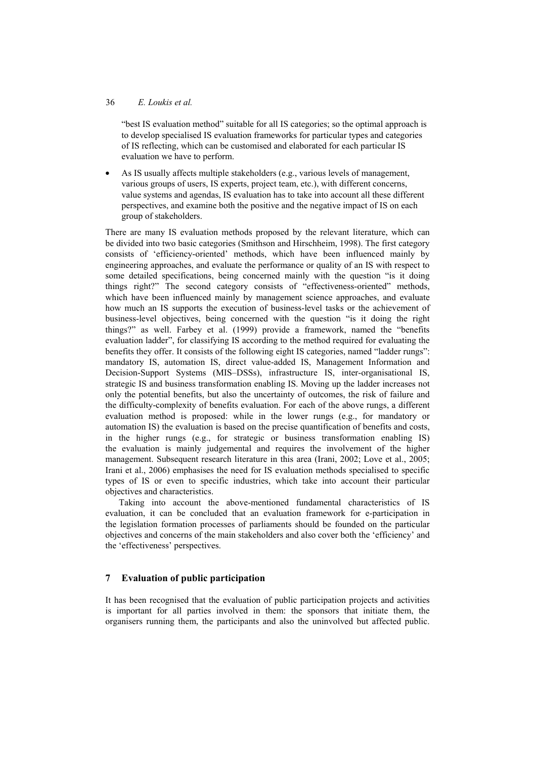"best IS evaluation method" suitable for all IS categories; so the optimal approach is to develop specialised IS evaluation frameworks for particular types and categories of IS reflecting, which can be customised and elaborated for each particular IS evaluation we have to perform.

As IS usually affects multiple stakeholders (e.g., various levels of management, various groups of users, IS experts, project team, etc.), with different concerns, value systems and agendas, IS evaluation has to take into account all these different perspectives, and examine both the positive and the negative impact of IS on each group of stakeholders.

There are many IS evaluation methods proposed by the relevant literature, which can be divided into two basic categories (Smithson and Hirschheim, 1998). The first category consists of 'efficiency-oriented' methods, which have been influenced mainly by engineering approaches, and evaluate the performance or quality of an IS with respect to some detailed specifications, being concerned mainly with the question "is it doing things right?" The second category consists of "effectiveness-oriented" methods, which have been influenced mainly by management science approaches, and evaluate how much an IS supports the execution of business-level tasks or the achievement of business-level objectives, being concerned with the question "is it doing the right things?" as well. Farbey et al. (1999) provide a framework, named the "benefits evaluation ladder", for classifying IS according to the method required for evaluating the benefits they offer. It consists of the following eight IS categories, named "ladder rungs": mandatory IS, automation IS, direct value-added IS, Management Information and Decision-Support Systems (MIS–DSSs), infrastructure IS, inter-organisational IS, strategic IS and business transformation enabling IS. Moving up the ladder increases not only the potential benefits, but also the uncertainty of outcomes, the risk of failure and the difficulty-complexity of benefits evaluation. For each of the above rungs, a different evaluation method is proposed: while in the lower rungs (e.g., for mandatory or automation IS) the evaluation is based on the precise quantification of benefits and costs, in the higher rungs (e.g., for strategic or business transformation enabling IS) the evaluation is mainly judgemental and requires the involvement of the higher management. Subsequent research literature in this area (Irani, 2002; Love et al., 2005; Irani et al., 2006) emphasises the need for IS evaluation methods specialised to specific types of IS or even to specific industries, which take into account their particular objectives and characteristics.

Taking into account the above-mentioned fundamental characteristics of IS evaluation, it can be concluded that an evaluation framework for e-participation in the legislation formation processes of parliaments should be founded on the particular objectives and concerns of the main stakeholders and also cover both the 'efficiency' and the 'effectiveness' perspectives.

## **7 Evaluation of public participation**

It has been recognised that the evaluation of public participation projects and activities is important for all parties involved in them: the sponsors that initiate them, the organisers running them, the participants and also the uninvolved but affected public.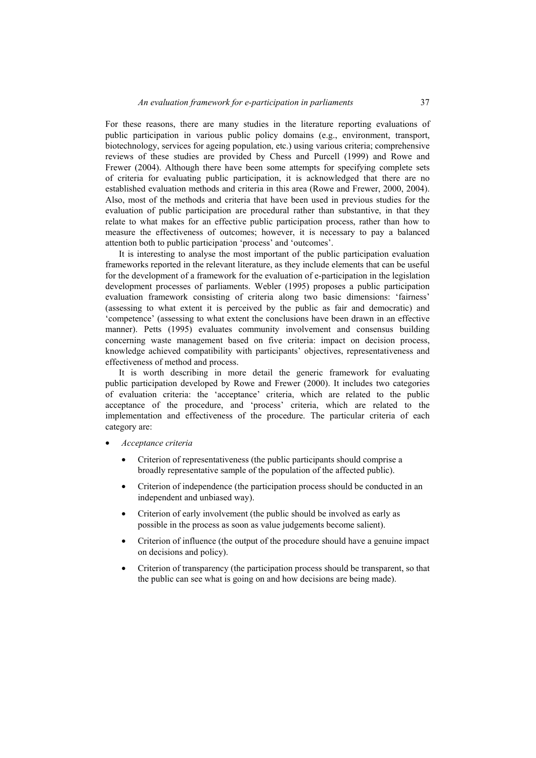For these reasons, there are many studies in the literature reporting evaluations of public participation in various public policy domains (e.g., environment, transport, biotechnology, services for ageing population, etc.) using various criteria; comprehensive reviews of these studies are provided by Chess and Purcell (1999) and Rowe and Frewer (2004). Although there have been some attempts for specifying complete sets of criteria for evaluating public participation, it is acknowledged that there are no established evaluation methods and criteria in this area (Rowe and Frewer, 2000, 2004). Also, most of the methods and criteria that have been used in previous studies for the evaluation of public participation are procedural rather than substantive, in that they relate to what makes for an effective public participation process, rather than how to measure the effectiveness of outcomes; however, it is necessary to pay a balanced attention both to public participation 'process' and 'outcomes'.

It is interesting to analyse the most important of the public participation evaluation frameworks reported in the relevant literature, as they include elements that can be useful for the development of a framework for the evaluation of e-participation in the legislation development processes of parliaments. Webler (1995) proposes a public participation evaluation framework consisting of criteria along two basic dimensions: 'fairness' (assessing to what extent it is perceived by the public as fair and democratic) and 'competence' (assessing to what extent the conclusions have been drawn in an effective manner). Petts (1995) evaluates community involvement and consensus building concerning waste management based on five criteria: impact on decision process, knowledge achieved compatibility with participants' objectives, representativeness and effectiveness of method and process.

It is worth describing in more detail the generic framework for evaluating public participation developed by Rowe and Frewer (2000). It includes two categories of evaluation criteria: the 'acceptance' criteria, which are related to the public acceptance of the procedure, and 'process' criteria, which are related to the implementation and effectiveness of the procedure. The particular criteria of each category are:

- *Acceptance criteria* 
	- Criterion of representativeness (the public participants should comprise a broadly representative sample of the population of the affected public).
	- Criterion of independence (the participation process should be conducted in an independent and unbiased way).
	- Criterion of early involvement (the public should be involved as early as possible in the process as soon as value judgements become salient).
	- Criterion of influence (the output of the procedure should have a genuine impact on decisions and policy).
	- Criterion of transparency (the participation process should be transparent, so that the public can see what is going on and how decisions are being made).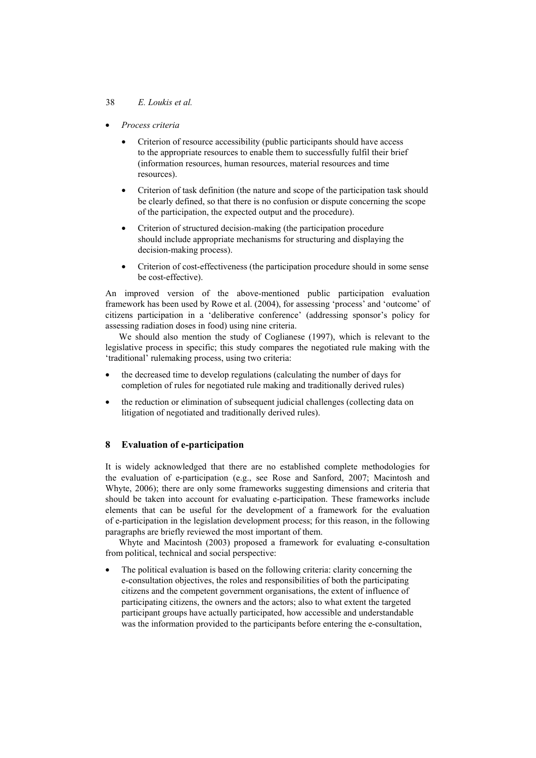## • *Process criteria*

- Criterion of resource accessibility (public participants should have access to the appropriate resources to enable them to successfully fulfil their brief (information resources, human resources, material resources and time resources).
- Criterion of task definition (the nature and scope of the participation task should be clearly defined, so that there is no confusion or dispute concerning the scope of the participation, the expected output and the procedure).
- Criterion of structured decision-making (the participation procedure should include appropriate mechanisms for structuring and displaying the decision-making process).
- Criterion of cost-effectiveness (the participation procedure should in some sense be cost-effective).

An improved version of the above-mentioned public participation evaluation framework has been used by Rowe et al. (2004), for assessing 'process' and 'outcome' of citizens participation in a 'deliberative conference' (addressing sponsor's policy for assessing radiation doses in food) using nine criteria.

We should also mention the study of Coglianese (1997), which is relevant to the legislative process in specific; this study compares the negotiated rule making with the 'traditional' rulemaking process, using two criteria:

- the decreased time to develop regulations (calculating the number of days for completion of rules for negotiated rule making and traditionally derived rules)
- the reduction or elimination of subsequent judicial challenges (collecting data on litigation of negotiated and traditionally derived rules).

## **8 Evaluation of e-participation**

It is widely acknowledged that there are no established complete methodologies for the evaluation of e-participation (e.g., see Rose and Sanford, 2007; Macintosh and Whyte, 2006); there are only some frameworks suggesting dimensions and criteria that should be taken into account for evaluating e-participation. These frameworks include elements that can be useful for the development of a framework for the evaluation of e-participation in the legislation development process; for this reason, in the following paragraphs are briefly reviewed the most important of them.

Whyte and Macintosh (2003) proposed a framework for evaluating e-consultation from political, technical and social perspective:

The political evaluation is based on the following criteria: clarity concerning the e-consultation objectives, the roles and responsibilities of both the participating citizens and the competent government organisations, the extent of influence of participating citizens, the owners and the actors; also to what extent the targeted participant groups have actually participated, how accessible and understandable was the information provided to the participants before entering the e-consultation,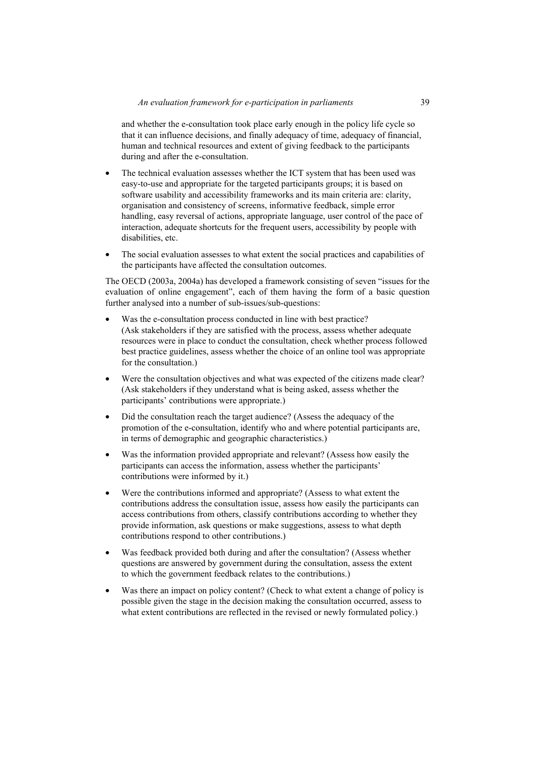and whether the e-consultation took place early enough in the policy life cycle so that it can influence decisions, and finally adequacy of time, adequacy of financial, human and technical resources and extent of giving feedback to the participants during and after the e-consultation.

- The technical evaluation assesses whether the ICT system that has been used was easy-to-use and appropriate for the targeted participants groups; it is based on software usability and accessibility frameworks and its main criteria are: clarity, organisation and consistency of screens, informative feedback, simple error handling, easy reversal of actions, appropriate language, user control of the pace of interaction, adequate shortcuts for the frequent users, accessibility by people with disabilities, etc.
- The social evaluation assesses to what extent the social practices and capabilities of the participants have affected the consultation outcomes.

The OECD (2003a, 2004a) has developed a framework consisting of seven "issues for the evaluation of online engagement", each of them having the form of a basic question further analysed into a number of sub-issues/sub-questions:

- Was the e-consultation process conducted in line with best practice? (Ask stakeholders if they are satisfied with the process, assess whether adequate resources were in place to conduct the consultation, check whether process followed best practice guidelines, assess whether the choice of an online tool was appropriate for the consultation.)
- Were the consultation objectives and what was expected of the citizens made clear? (Ask stakeholders if they understand what is being asked, assess whether the participants' contributions were appropriate.)
- Did the consultation reach the target audience? (Assess the adequacy of the promotion of the e-consultation, identify who and where potential participants are, in terms of demographic and geographic characteristics.)
- Was the information provided appropriate and relevant? (Assess how easily the participants can access the information, assess whether the participants' contributions were informed by it.)
- Were the contributions informed and appropriate? (Assess to what extent the contributions address the consultation issue, assess how easily the participants can access contributions from others, classify contributions according to whether they provide information, ask questions or make suggestions, assess to what depth contributions respond to other contributions.)
- Was feedback provided both during and after the consultation? (Assess whether questions are answered by government during the consultation, assess the extent to which the government feedback relates to the contributions.)
- Was there an impact on policy content? (Check to what extent a change of policy is possible given the stage in the decision making the consultation occurred, assess to what extent contributions are reflected in the revised or newly formulated policy.)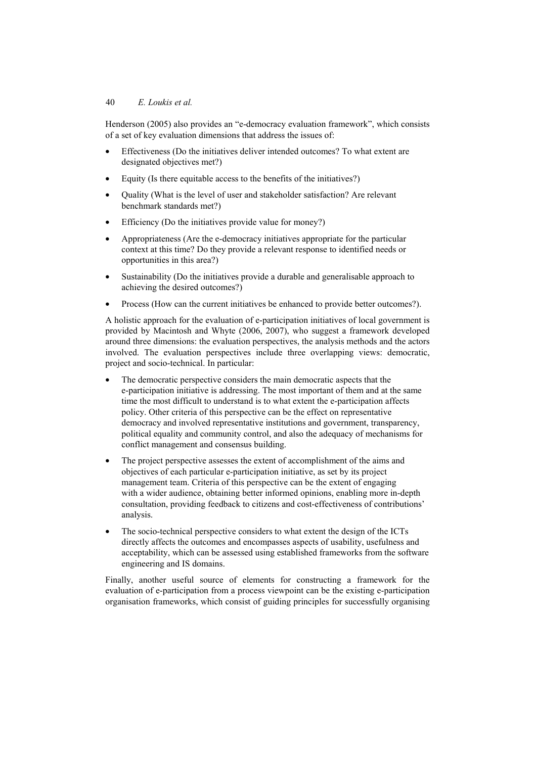Henderson (2005) also provides an "e-democracy evaluation framework", which consists of a set of key evaluation dimensions that address the issues of:

- Effectiveness (Do the initiatives deliver intended outcomes? To what extent are designated objectives met?)
- Equity (Is there equitable access to the benefits of the initiatives?)
- Quality (What is the level of user and stakeholder satisfaction? Are relevant benchmark standards met?)
- Efficiency (Do the initiatives provide value for money?)
- Appropriateness (Are the e-democracy initiatives appropriate for the particular context at this time? Do they provide a relevant response to identified needs or opportunities in this area?)
- Sustainability (Do the initiatives provide a durable and generalisable approach to achieving the desired outcomes?)
- Process (How can the current initiatives be enhanced to provide better outcomes?).

A holistic approach for the evaluation of e-participation initiatives of local government is provided by Macintosh and Whyte (2006, 2007), who suggest a framework developed around three dimensions: the evaluation perspectives, the analysis methods and the actors involved. The evaluation perspectives include three overlapping views: democratic, project and socio-technical. In particular:

- The democratic perspective considers the main democratic aspects that the e-participation initiative is addressing. The most important of them and at the same time the most difficult to understand is to what extent the e-participation affects policy. Other criteria of this perspective can be the effect on representative democracy and involved representative institutions and government, transparency, political equality and community control, and also the adequacy of mechanisms for conflict management and consensus building.
- The project perspective assesses the extent of accomplishment of the aims and objectives of each particular e-participation initiative, as set by its project management team. Criteria of this perspective can be the extent of engaging with a wider audience, obtaining better informed opinions, enabling more in-depth consultation, providing feedback to citizens and cost-effectiveness of contributions' analysis.
- The socio-technical perspective considers to what extent the design of the ICTs directly affects the outcomes and encompasses aspects of usability, usefulness and acceptability, which can be assessed using established frameworks from the software engineering and IS domains.

Finally, another useful source of elements for constructing a framework for the evaluation of e-participation from a process viewpoint can be the existing e-participation organisation frameworks, which consist of guiding principles for successfully organising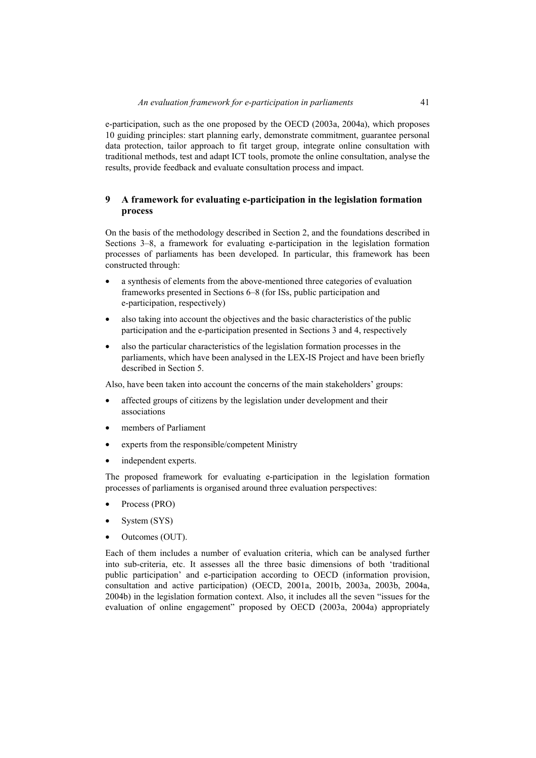e-participation, such as the one proposed by the OECD (2003a, 2004a), which proposes 10 guiding principles: start planning early, demonstrate commitment, guarantee personal data protection, tailor approach to fit target group, integrate online consultation with traditional methods, test and adapt ICT tools, promote the online consultation, analyse the results, provide feedback and evaluate consultation process and impact.

# **9 A framework for evaluating e-participation in the legislation formation process**

On the basis of the methodology described in Section 2, and the foundations described in Sections 3–8, a framework for evaluating e-participation in the legislation formation processes of parliaments has been developed. In particular, this framework has been constructed through:

- a synthesis of elements from the above-mentioned three categories of evaluation frameworks presented in Sections 6–8 (for ISs, public participation and e-participation, respectively)
- also taking into account the objectives and the basic characteristics of the public participation and the e-participation presented in Sections 3 and 4, respectively
- also the particular characteristics of the legislation formation processes in the parliaments, which have been analysed in the LEX-IS Project and have been briefly described in Section 5.

Also, have been taken into account the concerns of the main stakeholders' groups:

- affected groups of citizens by the legislation under development and their associations
- members of Parliament
- experts from the responsible/competent Ministry
- independent experts.

The proposed framework for evaluating e-participation in the legislation formation processes of parliaments is organised around three evaluation perspectives:

- Process (PRO)
- System (SYS)
- Outcomes (OUT).

Each of them includes a number of evaluation criteria, which can be analysed further into sub-criteria, etc. It assesses all the three basic dimensions of both 'traditional public participation' and e-participation according to OECD (information provision, consultation and active participation) (OECD, 2001a, 2001b, 2003a, 2003b, 2004a, 2004b) in the legislation formation context. Also, it includes all the seven "issues for the evaluation of online engagement" proposed by OECD (2003a, 2004a) appropriately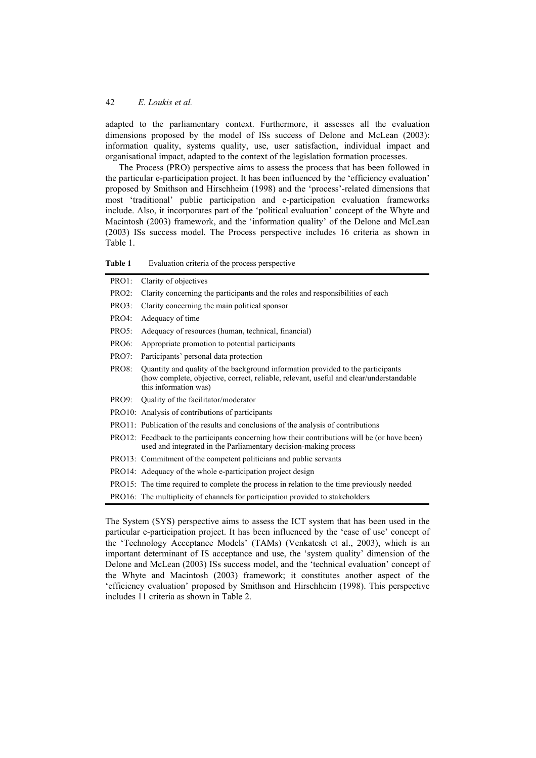adapted to the parliamentary context. Furthermore, it assesses all the evaluation dimensions proposed by the model of ISs success of Delone and McLean (2003): information quality, systems quality, use, user satisfaction, individual impact and organisational impact, adapted to the context of the legislation formation processes.

The Process (PRO) perspective aims to assess the process that has been followed in the particular e-participation project. It has been influenced by the 'efficiency evaluation' proposed by Smithson and Hirschheim (1998) and the 'process'-related dimensions that most 'traditional' public participation and e-participation evaluation frameworks include. Also, it incorporates part of the 'political evaluation' concept of the Whyte and Macintosh (2003) framework, and the 'information quality' of the Delone and McLean (2003) ISs success model. The Process perspective includes 16 criteria as shown in Table 1.

| Table 1 |  |  |  |  | Evaluation criteria of the process perspective |
|---------|--|--|--|--|------------------------------------------------|
|---------|--|--|--|--|------------------------------------------------|

| PRO1:        | Clarity of objectives                                                                                                                                                                              |
|--------------|----------------------------------------------------------------------------------------------------------------------------------------------------------------------------------------------------|
| $PRO2$ :     | Clarity concerning the participants and the roles and responsibilities of each                                                                                                                     |
| PRO3:        | Clarity concerning the main political sponsor                                                                                                                                                      |
| PRO4:        | Adequacy of time                                                                                                                                                                                   |
| PRO5:        | Adequacy of resources (human, technical, financial)                                                                                                                                                |
| <b>PRO6:</b> | Appropriate promotion to potential participants                                                                                                                                                    |
| PRO7:        | Participants' personal data protection                                                                                                                                                             |
| PRO8:        | Quantity and quality of the background information provided to the participants<br>(how complete, objective, correct, reliable, relevant, useful and clear/understandable<br>this information was) |
| PRO9:        | Quality of the facilitator/moderator                                                                                                                                                               |
|              | PRO10: Analysis of contributions of participants                                                                                                                                                   |
|              | <b>PRO11:</b> Publication of the results and conclusions of the analysis of contributions                                                                                                          |
|              | PRO12: Feedback to the participants concerning how their contributions will be (or have been)<br>used and integrated in the Parliamentary decision-making process                                  |
|              | PRO13: Commitment of the competent politicians and public servants                                                                                                                                 |
|              | PRO14: Adequacy of the whole e-participation project design                                                                                                                                        |
|              | PRO15: The time required to complete the process in relation to the time previously needed                                                                                                         |
|              | PRO16: The multiplicity of channels for participation provided to stakeholders                                                                                                                     |

The System (SYS) perspective aims to assess the ICT system that has been used in the particular e-participation project. It has been influenced by the 'ease of use' concept of the 'Technology Acceptance Models' (TAMs) (Venkatesh et al., 2003), which is an important determinant of IS acceptance and use, the 'system quality' dimension of the Delone and McLean (2003) ISs success model, and the 'technical evaluation' concept of the Whyte and Macintosh (2003) framework; it constitutes another aspect of the 'efficiency evaluation' proposed by Smithson and Hirschheim (1998). This perspective includes 11 criteria as shown in Table 2.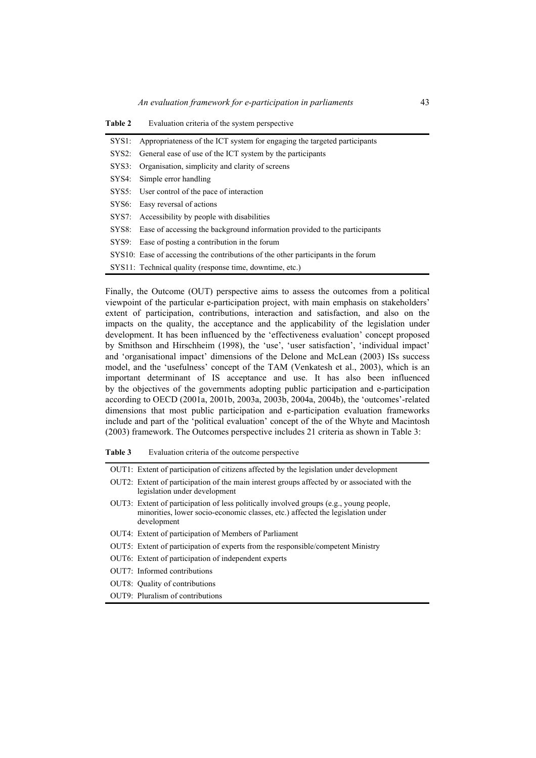| Table 2        | Evaluation criteria of the system perspective                                     |
|----------------|-----------------------------------------------------------------------------------|
| SYS1:          | Appropriateness of the ICT system for engaging the targeted participants          |
| ${\rm SYS2}$ : | General ease of use of the ICT system by the participants                         |
| ${\rm SYS3:}$  | Organisation, simplicity and clarity of screens                                   |
| SYS4:          | Simple error handling                                                             |
|                | SYS5: User control of the pace of interaction                                     |
| SYS6:          | Easy reversal of actions                                                          |
| ${\rm SYS7:}$  | Accessibility by people with disabilities                                         |
| SYS8:          | Ease of accessing the background information provided to the participants         |
| ${\rm SYS9}$ : | Ease of posting a contribution in the forum                                       |
|                | SYS10: Ease of accessing the contributions of the other participants in the forum |
|                | SYS11: Technical quality (response time, downtime, etc.)                          |

Finally, the Outcome (OUT) perspective aims to assess the outcomes from a political viewpoint of the particular e-participation project, with main emphasis on stakeholders' extent of participation, contributions, interaction and satisfaction, and also on the impacts on the quality, the acceptance and the applicability of the legislation under development. It has been influenced by the 'effectiveness evaluation' concept proposed by Smithson and Hirschheim (1998), the 'use', 'user satisfaction', 'individual impact' and 'organisational impact' dimensions of the Delone and McLean (2003) ISs success model, and the 'usefulness' concept of the TAM (Venkatesh et al., 2003), which is an important determinant of IS acceptance and use. It has also been influenced by the objectives of the governments adopting public participation and e-participation according to OECD (2001a, 2001b, 2003a, 2003b, 2004a, 2004b), the 'outcomes'-related dimensions that most public participation and e-participation evaluation frameworks include and part of the 'political evaluation' concept of the of the Whyte and Macintosh (2003) framework. The Outcomes perspective includes 21 criteria as shown in Table 3:

**Table 3** Evaluation criteria of the outcome perspective

| OUT1: Extent of participation of citizens affected by the legislation under development                                                                                                 |
|-----------------------------------------------------------------------------------------------------------------------------------------------------------------------------------------|
| OUT2: Extent of participation of the main interest groups affected by or associated with the<br>legislation under development                                                           |
| OUT3: Extent of participation of less politically involved groups (e.g., young people,<br>minorities, lower socio-economic classes, etc.) affected the legislation under<br>development |
| OUT4: Extent of participation of Members of Parliament                                                                                                                                  |
| OUT5: Extent of participation of experts from the responsible/competent Ministry                                                                                                        |
| OUT6: Extent of participation of independent experts                                                                                                                                    |
| OUT7: Informed contributions                                                                                                                                                            |
| OUT8: Quality of contributions                                                                                                                                                          |
| OUT9: Pluralism of contributions                                                                                                                                                        |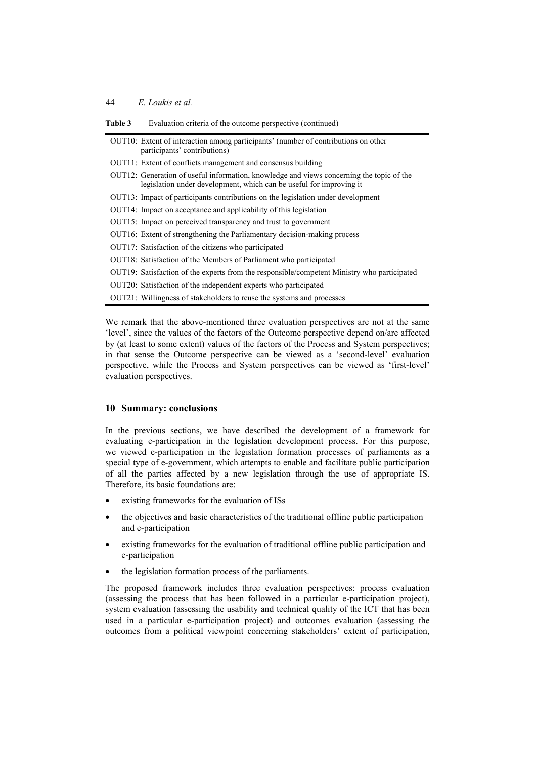| Table 3 | Evaluation criteria of the outcome perspective (continued)                                                                                                      |
|---------|-----------------------------------------------------------------------------------------------------------------------------------------------------------------|
|         | OUT10: Extent of interaction among participants' (number of contributions on other<br>participants' contributions)                                              |
|         | OUT11: Extent of conflicts management and consensus building                                                                                                    |
|         | OUT12: Generation of useful information, knowledge and views concerning the topic of the<br>legislation under development, which can be useful for improving it |
|         | OUT13: Impact of participants contributions on the legislation under development                                                                                |
|         | OUT14: Impact on acceptance and applicability of this legislation                                                                                               |
|         | OUT15: Impact on perceived transparency and trust to government                                                                                                 |
|         | OUT16: Extent of strengthening the Parliamentary decision-making process                                                                                        |
|         | OUT17: Satisfaction of the citizens who participated                                                                                                            |
|         | OUT18: Satisfaction of the Members of Parliament who participated                                                                                               |
|         | OUT19: Satisfaction of the experts from the responsible/competent Ministry who participated                                                                     |
|         | OUT20: Satisfaction of the independent experts who participated                                                                                                 |
|         | OUT21: Willingness of stakeholders to reuse the systems and processes                                                                                           |

We remark that the above-mentioned three evaluation perspectives are not at the same 'level', since the values of the factors of the Outcome perspective depend on/are affected by (at least to some extent) values of the factors of the Process and System perspectives; in that sense the Outcome perspective can be viewed as a 'second-level' evaluation perspective, while the Process and System perspectives can be viewed as 'first-level' evaluation perspectives.

## **10 Summary: conclusions**

In the previous sections, we have described the development of a framework for evaluating e-participation in the legislation development process. For this purpose, we viewed e-participation in the legislation formation processes of parliaments as a special type of e-government, which attempts to enable and facilitate public participation of all the parties affected by a new legislation through the use of appropriate IS. Therefore, its basic foundations are:

- existing frameworks for the evaluation of ISs
- the objectives and basic characteristics of the traditional offline public participation and e-participation
- existing frameworks for the evaluation of traditional offline public participation and e-participation
- the legislation formation process of the parliaments.

The proposed framework includes three evaluation perspectives: process evaluation (assessing the process that has been followed in a particular e-participation project), system evaluation (assessing the usability and technical quality of the ICT that has been used in a particular e-participation project) and outcomes evaluation (assessing the outcomes from a political viewpoint concerning stakeholders' extent of participation,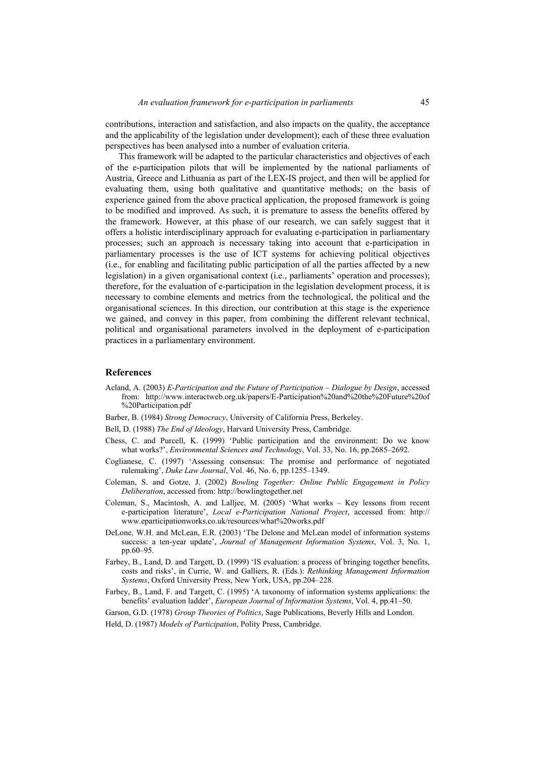contributions, interaction and satisfaction, and also impacts on the quality, the acceptance and the applicability of the legislation under development); each of these three evaluation perspectives has been analysed into a number of evaluation criteria.

This framework will be adapted to the particular characteristics and objectives of each of the e-participation pilots that will be implemented by the national parliaments of Austria, Greece and Lithuania as part of the LEX-IS project, and then will be applied for evaluating them, using both qualitative and quantitative methods; on the basis of experience gained from the above practical application, the proposed framework is going to be modified and improved. As such, it is premature to assess the benefits offered by the framework. However, at this phase of our research, we can safely suggest that it offers a holistic interdisciplinary approach for evaluating e-participation in parliamentary processes; such an approach is necessary taking into account that e-participation in parliamentary processes is the use of ICT systems for achieving political objectives (i.e., for enabling and facilitating public participation of all the parties affected by a new legislation) in a given organisational context (i.e., parliaments' operation and processes); therefore, for the evaluation of e-participation in the legislation development process, it is necessary to combine elements and metrics from the technological, the political and the organisational sciences. In this direction, our contribution at this stage is the experience we gained, and convey in this paper, from combining the different relevant technical, political and organisational parameters involved in the deployment of e-participation practices in a parliamentary environment.

## **References**

- Acland, A. (2003) *E-Participation and the Future of Participation Dialogue by Design*, accessed from: http://www.interactweb.org.uk/papers/E-Participation%20and%20the%20Future%20of %20Participation.pdf
- Barber, B. (1984) *Strong Democracy*, University of California Press, Berkeley.
- Bell, D. (1988) *The End of Ideology*, Harvard University Press, Cambridge.
- Chess, C. and Purcell, K. (1999) 'Public participation and the environment: Do we know what works?', *Environmental Sciences and Technology*, Vol. 33, No. 16, pp.2685–2692.
- Coglianese, C. (1997) 'Assessing consensus: The promise and performance of negotiated rulemaking', *Duke Law Journal*, Vol. 46, No. 6, pp.1255–1349.
- Coleman, S. and Gotze, J. (2002) *Bowling Together: Online Public Engagement in Policy Deliberation*, accessed from: http://bowlingtogether.net
- Coleman, S., Macintosh, A. and Lalljee, M. (2005) 'What works Key lessons from recent e-participation literature', *Local e-Participation National Project*, accessed from: http:// www.eparticipationworks.co.uk/resources/what%20works.pdf
- DeLone, W.H. and McLean, E.R. (2003) 'The Delone and McLean model of information systems success: a ten-year update', *Journal of Management Information Systems*, Vol. 3, No. 1, pp.60–95.
- Farbey, B., Land, D. and Targett, D. (1999) 'IS evaluation: a process of bringing together benefits, costs and risks', in Currie, W. and Galliers, R. (Eds.): *Rethinking Management Information Systems*, Oxford University Press, New York, USA, pp.204–228.
- Farbey, B., Land, F. and Targett, C. (1995) 'A taxonomy of information systems applications: the benefits' evaluation ladder', *European Journal of Information Systems*, Vol. 4, pp.41–50.
- Garson, G.D. (1978) *Group Theories of Politics*, Sage Publications, Beverly Hills and London.
- Held, D. (1987) *Models of Participation*, Polity Press, Cambridge.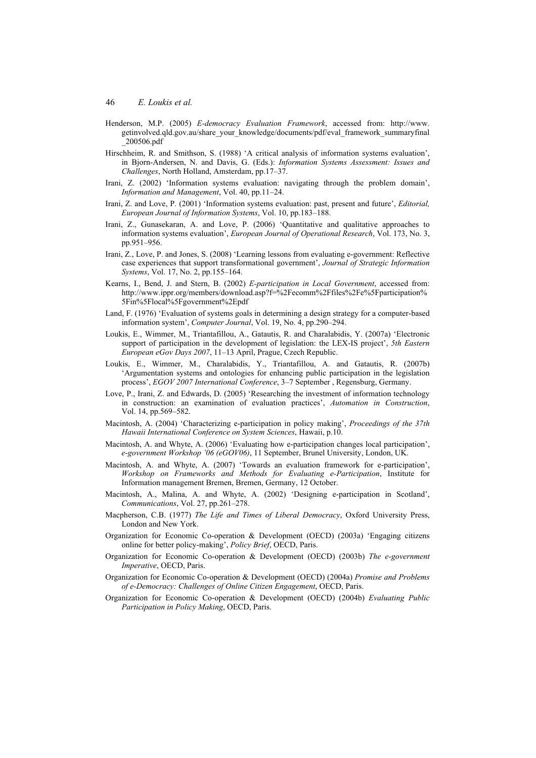- Henderson, M.P. (2005) *E-democracy Evaluation Framework*, accessed from: http://www. getinvolved.qld.gov.au/share\_your\_knowledge/documents/pdf/eval\_framework\_summaryfinal \_200506.pdf
- Hirschheim, R. and Smithson, S. (1988) 'A critical analysis of information systems evaluation', in Bjorn-Andersen, N. and Davis, G. (Eds.): *Information Systems Assessment: Issues and Challenges*, North Holland, Amsterdam, pp.17–37.
- Irani, Z. (2002) 'Information systems evaluation: navigating through the problem domain', *Information and Management*, Vol. 40, pp.11–24.
- Irani, Z. and Love, P. (2001) 'Information systems evaluation: past, present and future', *Editorial, European Journal of Information Systems*, Vol. 10, pp.183–188.
- Irani, Z., Gunasekaran, A. and Love, P. (2006) 'Quantitative and qualitative approaches to information systems evaluation', *European Journal of Operational Research*, Vol. 173, No. 3, pp.951–956.
- Irani, Z., Love, P. and Jones, S. (2008) 'Learning lessons from evaluating e-government: Reflective case experiences that support transformational government', *Journal of Strategic Information Systems*, Vol. 17, No. 2, pp.155–164.
- Kearns, I., Bend, J. and Stern, B. (2002) *E-participation in Local Government*, accessed from: http://www.ippr.org/members/download.asp?f=%2Fecomm%2Ffiles%2Fe%5Fparticipation% 5Fin%5Flocal%5Fgovernment%2Epdf
- Land, F. (1976) 'Evaluation of systems goals in determining a design strategy for a computer-based information system', *Computer Journal*, Vol. 19, No. 4, pp.290–294.
- Loukis, Ε., Wimmer, Μ., Triantafillou, Α., Gatautis, R. and Charalabidis, Y. (2007a) 'Electronic support of participation in the development of legislation: the LEX-IS project', *5th Eastern European eGov Days 2007*, 11–13 April, Prague, Czech Republic.
- Loukis, Ε., Wimmer, Μ., Charalabidis, Y., Triantafillou, Α. and Gatautis, R. (2007b) 'Argumentation systems and ontologies for enhancing public participation in the legislation process', *EGOV 2007 International Conference*, 3–7 September , Regensburg, Germany.
- Love, P., Irani, Z. and Edwards, D. (2005) 'Researching the investment of information technology in construction: an examination of evaluation practices', *Automation in Construction*, Vol. 14, pp.569–582.
- Macintosh, A. (2004) 'Characterizing e-participation in policy making', *Proceedings of the 37th Hawaii International Conference on System Sciences*, Hawaii, p.10.
- Macintosh, A. and Whyte, A. (2006) 'Evaluating how e-participation changes local participation', *e-government Workshop '06 (eGOV06)*, 11 September, Brunel University, London, UK.
- Macintosh, A. and Whyte, A. (2007) 'Towards an evaluation framework for e-participation', *Workshop on Frameworks and Methods for Evaluating e-Participation*, Institute for Information management Bremen, Bremen, Germany, 12 October.
- Macintosh, A., Malina, A. and Whyte, A. (2002) 'Designing e-participation in Scotland', *Communications*, Vol. 27, pp.261–278.
- Macpherson, C.B. (1977) *The Life and Times of Liberal Democracy*, Oxford University Press, London and New York.
- Organization for Economic Co-operation & Development (OECD) (2003a) 'Engaging citizens online for better policy-making', *Policy Brief*, OECD, Paris.
- Organization for Economic Co-operation & Development (OECD) (2003b) *The e-government Imperative*, OECD, Paris.
- Organization for Economic Co-operation & Development (OECD) (2004a) *Promise and Problems of e-Democracy: Challenges of Online Citizen Engagement*, OECD, Paris.
- Organization for Economic Co-operation & Development (OECD) (2004b) *Evaluating Public Participation in Policy Making*, OECD, Paris.